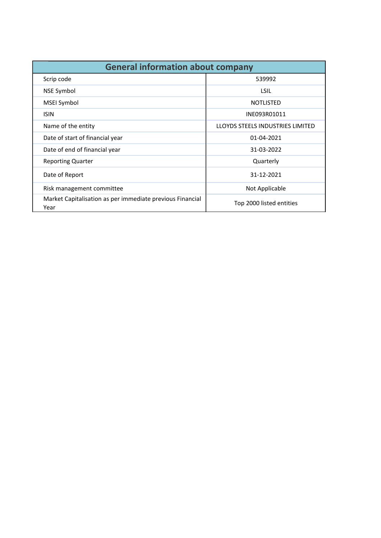| <b>General information about company</b>                          |                                  |
|-------------------------------------------------------------------|----------------------------------|
| Scrip code                                                        | 539992                           |
| NSE Symbol                                                        | LSIL                             |
| MSEI Symbol                                                       | <b>NOTLISTED</b>                 |
| <b>ISIN</b>                                                       | INE093R01011                     |
| Name of the entity                                                | LLOYDS STEELS INDUSTRIES LIMITED |
| Date of start of financial year                                   | 01-04-2021                       |
| Date of end of financial year                                     | 31-03-2022                       |
| <b>Reporting Quarter</b>                                          | Quarterly                        |
| Date of Report                                                    | 31-12-2021                       |
| Risk management committee                                         | Not Applicable                   |
| Market Capitalisation as per immediate previous Financial<br>Year | Top 2000 listed entities         |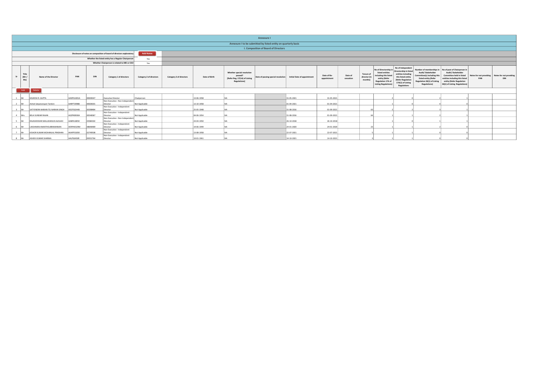|                         |                                                                                          | Annexure I                                                     |            |          |                                                     |                                  |                         |                          |                                                                                        |                                                                  |                          |                              |                      |                                      |                                                                                                                                     |                                                                                                                                                  |                                                                                                                                                            |                                                                                                                                                                               |                                                        |     |
|-------------------------|------------------------------------------------------------------------------------------|----------------------------------------------------------------|------------|----------|-----------------------------------------------------|----------------------------------|-------------------------|--------------------------|----------------------------------------------------------------------------------------|------------------------------------------------------------------|--------------------------|------------------------------|----------------------|--------------------------------------|-------------------------------------------------------------------------------------------------------------------------------------|--------------------------------------------------------------------------------------------------------------------------------------------------|------------------------------------------------------------------------------------------------------------------------------------------------------------|-------------------------------------------------------------------------------------------------------------------------------------------------------------------------------|--------------------------------------------------------|-----|
|                         | Annexure I to be submitted by listed entity on quarterly basis                           |                                                                |            |          |                                                     |                                  |                         |                          |                                                                                        |                                                                  |                          |                              |                      |                                      |                                                                                                                                     |                                                                                                                                                  |                                                                                                                                                            |                                                                                                                                                                               |                                                        |     |
|                         |                                                                                          | I. Composition of Board of Directors                           |            |          |                                                     |                                  |                         |                          |                                                                                        |                                                                  |                          |                              |                      |                                      |                                                                                                                                     |                                                                                                                                                  |                                                                                                                                                            |                                                                                                                                                                               |                                                        |     |
|                         | Disclosure of notes on composition of board of directors explanatory<br><b>Add Notes</b> |                                                                |            |          |                                                     |                                  |                         |                          |                                                                                        |                                                                  |                          |                              |                      |                                      |                                                                                                                                     |                                                                                                                                                  |                                                                                                                                                            |                                                                                                                                                                               |                                                        |     |
|                         |                                                                                          |                                                                |            |          | Whether the listed entity has a Regular Chairperson | Yes                              |                         |                          |                                                                                        |                                                                  |                          |                              |                      |                                      |                                                                                                                                     |                                                                                                                                                  |                                                                                                                                                            |                                                                                                                                                                               |                                                        |     |
|                         |                                                                                          |                                                                |            |          | Whether Chairperson is related to MD or CEO         | Yes                              |                         |                          |                                                                                        |                                                                  |                          |                              |                      |                                      |                                                                                                                                     |                                                                                                                                                  |                                                                                                                                                            |                                                                                                                                                                               |                                                        |     |
| Sr                      | Title<br>(Mr)<br>Ms)                                                                     | Name of the Director                                           | PAN        | DIN      | Category 1 of directors                             | Category 2 of directors          | Category 3 of directors | Date of Birth            | Whether special resolution<br>passed?<br>[Refer Reg. 17(1A) of Listing<br>Regulations] | Date of passing special resolution   Initial Date of appointment |                          | Date of Re-<br>appointment   | Date of<br>cessation | Tenure of<br>director (in<br>months) | No of Directorship in<br>listed entities<br>including this liste<br>entity (Refer<br>Regulation 17A o<br><b>Listing Regulation:</b> | No of Independent<br>Directorship in listed<br>entities including<br>this listed entity<br>(Refer Regulation<br>17A(1) of Listing<br>Regulations | Number of memberships in<br>Audit/ Stakeholder<br>Committee(s) including thi<br>listed entity (Refer<br>Regulation 26(1) of Listing<br><b>Regulations)</b> | No of post of Chairperson in<br>Audit/ Stakeholder<br>Committee held in listed<br>entities including this listed<br>entity (Refer Regulation<br>26(1) of Listing Regulations) | Notes for not providing Notes for not providing<br>PAN | DIN |
|                         | Add                                                                                      | Delete                                                         |            |          |                                                     |                                  |                         |                          |                                                                                        |                                                                  |                          |                              |                      |                                      |                                                                                                                                     |                                                                                                                                                  |                                                                                                                                                            |                                                                                                                                                                               |                                                        |     |
| $1$ Mr                  |                                                                                          | MUKESH R. GUPTA                                                | AADPG1001A | 00028347 | <b>Executive Director</b>                           | Chairperson                      |                         | 13-06-1958               |                                                                                        |                                                                  | 31-05-2021               | 31-05-2021                   |                      |                                      |                                                                                                                                     |                                                                                                                                                  |                                                                                                                                                            |                                                                                                                                                                               |                                                        |     |
|                         | Mr                                                                                       |                                                                | AARPT39988 | 00028301 | Non-Executive - Non Independent                     |                                  |                         |                          |                                                                                        |                                                                  |                          |                              |                      |                                      |                                                                                                                                     |                                                                                                                                                  |                                                                                                                                                            |                                                                                                                                                                               |                                                        |     |
| $\overline{\mathbf{3}}$ | Mr                                                                                       | Ashok Satyanarayan Tandon<br>SATYENDRA NARAIN TEJ NARAIN SINGH | ADCPS0244B | 0398484  | Director<br>Non-Executive - Independent<br>Director | Not Applicable<br>Not Applicable |                         | 13-10-1958<br>25-05-1948 |                                                                                        |                                                                  | 01-04-2021<br>31-08-2016 | $01 - 04 - 202$<br>01-09-202 |                      |                                      |                                                                                                                                     |                                                                                                                                                  |                                                                                                                                                            |                                                                                                                                                                               |                                                        |     |
|                         | 4 Mrs                                                                                    | BELA SUNDAR RAJAN                                              | AGZPK8930A | 00548367 | Non-Executive - Independent<br>Director             | Not Applicable                   |                         | 04-06-1954               |                                                                                        |                                                                  | 31-08-2016               | $01 - 09 - 2021$             |                      |                                      |                                                                                                                                     |                                                                                                                                                  |                                                                                                                                                            |                                                                                                                                                                               |                                                        |     |
|                         | Mr                                                                                       | RAJASHEKHAR MALLIKARJUN ALEGAVI                                | AABPA1805E | 13584302 | Non-Executive - Non Independent<br>Director         | Not Applicable                   |                         | 24-04-1950               |                                                                                        |                                                                  | 26-10-2018               | 26-10-2018                   |                      |                                      |                                                                                                                                     |                                                                                                                                                  |                                                                                                                                                            |                                                                                                                                                                               |                                                        |     |
| 6                       | Mr                                                                                       | LAKSHMAN ANANTHSUBRAMANIAN                                     | AERPA4329M | 08648489 | Non-Executive - Independent<br>Director             | Not Applicable                   |                         | 19-06-1949               |                                                                                        |                                                                  | 24-01-2020               | 24-01-2020                   |                      |                                      |                                                                                                                                     |                                                                                                                                                  |                                                                                                                                                            |                                                                                                                                                                               |                                                        |     |
|                         | Mr.                                                                                      | KISHOR KUMAR MOHANLAL PRADHAN                                  | AKAPP3305R | 02749508 | Non-Executive - Independent<br>Director             | Not Applicable                   |                         | 13-08-1958               |                                                                                        |                                                                  | 22-07-2021               | 22-07-2021                   |                      |                                      |                                                                                                                                     |                                                                                                                                                  |                                                                                                                                                            |                                                                                                                                                                               |                                                        |     |
| 8                       | Mr                                                                                       | ASHOK KUMAR SHARMA                                             | AALPS6450R | 09352764 | Non-Executive - Independent<br>Director             | Not Applicable                   |                         | 10-01-1961               |                                                                                        |                                                                  | 14-10-2021               | 14-10-2021                   |                      |                                      |                                                                                                                                     |                                                                                                                                                  |                                                                                                                                                            |                                                                                                                                                                               |                                                        |     |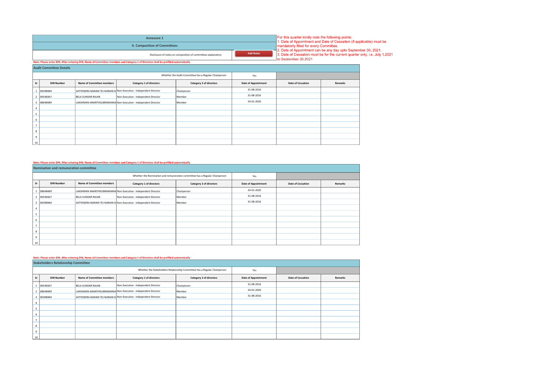| <b>Annexure 1</b>                                            |                  |
|--------------------------------------------------------------|------------------|
| <b>II. Composition of Committees</b>                         |                  |
| Disclosure of notes on composition of committees explanatory | <b>Add Notes</b> |

For this quarter kindly note the following points: 1. Date of Appointment and Date of Cessation (if applicable) must be mandatorily filled for every Committee. 2. Date of Appointment can be any day upto September 30, 2021. 3. Date of Cessation must be for the current quarter only, i.e. July 1,2021 to September 30,2021

 $\overline{\phantom{0}}$ 

Note: Please enter DIN. After entering DIN, Name of Committee members and Category 1 of Directors shall be prefilled automatically

|            | <b>Audit Committee Details</b>                               |                                  |                                                                     |                         |                            |                          |         |  |
|------------|--------------------------------------------------------------|----------------------------------|---------------------------------------------------------------------|-------------------------|----------------------------|--------------------------|---------|--|
|            | Whether the Audit Committee has a Regular Chairperson<br>Yes |                                  |                                                                     |                         |                            |                          |         |  |
| Sr         | <b>DIN Number</b>                                            | <b>Name of Committee members</b> | Category 1 of directors                                             | Category 2 of directors | <b>Date of Appointment</b> | <b>Date of Cessation</b> | Remarks |  |
|            | 00398484                                                     |                                  | SATYENDRA NARAIN TEJ NARAIN SI Non-Executive - Independent Director | Chairperson             | 31-08-2016                 |                          |         |  |
|            | 00548367                                                     | BELA SUNDAR RAJAN                | Non-Executive - Independent Director                                | Member                  | 31-08-2016                 |                          |         |  |
|            | 08648489                                                     |                                  | LAKSHMAN ANANTHSUBRAMANIA Non-Executive - Independent Director      | Member                  | 24-01-2020                 |                          |         |  |
|            |                                                              |                                  |                                                                     |                         |                            |                          |         |  |
|            |                                                              |                                  |                                                                     |                         |                            |                          |         |  |
|            |                                                              |                                  |                                                                     |                         |                            |                          |         |  |
|            |                                                              |                                  |                                                                     |                         |                            |                          |         |  |
| 8          |                                                              |                                  |                                                                     |                         |                            |                          |         |  |
| $\ddot{q}$ |                                                              |                                  |                                                                     |                         |                            |                          |         |  |
| 10         |                                                              |                                  |                                                                     |                         |                            |                          |         |  |

## Note: Please enter DIN. After entering DIN, Name of Committee members and Category 1 of Directors shall be prefilled auto

|                | Nomination and remuneration committee |                                  |                                                                             |                         |                            |                          |         |  |  |  |  |
|----------------|---------------------------------------|----------------------------------|-----------------------------------------------------------------------------|-------------------------|----------------------------|--------------------------|---------|--|--|--|--|
|                |                                       |                                  | Whether the Nomination and remuneration committee has a Regular Chairperson | Yes                     |                            |                          |         |  |  |  |  |
| Sr             | <b>DIN Number</b>                     | <b>Name of Committee members</b> | Category 1 of directors                                                     | Category 2 of directors | <b>Date of Appointment</b> | <b>Date of Cessation</b> | Remarks |  |  |  |  |
|                | 08648489                              |                                  | LAKSHMAN ANANTHSUBRAMANIA Non-Executive - Independent Director              | Chairperson             | 24-01-2020                 |                          |         |  |  |  |  |
|                | 2 00548367                            | <b>BELA SUNDAR RAJAN</b>         | Non-Executive - Independent Director                                        | Member                  | 31-08-2016                 |                          |         |  |  |  |  |
| $\overline{3}$ | 00398484                              |                                  | SATYENDRA NARAIN TEJ NARAIN SI Non-Executive - Independent Director         | Member                  | 31-08-2016                 |                          |         |  |  |  |  |
|                |                                       |                                  |                                                                             |                         |                            |                          |         |  |  |  |  |
|                |                                       |                                  |                                                                             |                         |                            |                          |         |  |  |  |  |
|                |                                       |                                  |                                                                             |                         |                            |                          |         |  |  |  |  |
|                |                                       |                                  |                                                                             |                         |                            |                          |         |  |  |  |  |
| 8              |                                       |                                  |                                                                             |                         |                            |                          |         |  |  |  |  |
| s              |                                       |                                  |                                                                             |                         |                            |                          |         |  |  |  |  |
| 10             |                                       |                                  |                                                                             |                         |                            |                          |         |  |  |  |  |

|                  | Note: Please enter DIN. After entering DIN, Name of Committee members and Category 1 of Directors shall be prefilled automatically |                           |                                                                           |                         |                            |                   |         |  |  |  |
|------------------|------------------------------------------------------------------------------------------------------------------------------------|---------------------------|---------------------------------------------------------------------------|-------------------------|----------------------------|-------------------|---------|--|--|--|
|                  | <b>Stakeholders Relationship Committee</b>                                                                                         |                           |                                                                           |                         |                            |                   |         |  |  |  |
|                  |                                                                                                                                    |                           | Whether the Stakeholders Relationship Committee has a Regular Chairperson | Yes                     |                            |                   |         |  |  |  |
| Sr               | <b>DIN Number</b>                                                                                                                  | Name of Committee members | Category 1 of directors                                                   | Category 2 of directors | <b>Date of Appointment</b> | Date of Cessation | Remarks |  |  |  |
|                  | 1 00548367                                                                                                                         | BELA SUNDAR RAJAN         | Non-Executive - Independent Director                                      | Chairperson             | 31-08-2016                 |                   |         |  |  |  |
|                  | 2 08648489                                                                                                                         |                           | LAKSHMAN ANANTHSUBRAMANIA Non-Executive - Independent Director            | Member                  | 24-01-2020                 |                   |         |  |  |  |
|                  | 3 00398484                                                                                                                         |                           | SATYENDRA NARAIN TEJ NARAIN SI Non-Executive - Independent Director       | Member                  | 31-08-2016                 |                   |         |  |  |  |
|                  |                                                                                                                                    |                           |                                                                           |                         |                            |                   |         |  |  |  |
|                  |                                                                                                                                    |                           |                                                                           |                         |                            |                   |         |  |  |  |
| 6                |                                                                                                                                    |                           |                                                                           |                         |                            |                   |         |  |  |  |
|                  |                                                                                                                                    |                           |                                                                           |                         |                            |                   |         |  |  |  |
| 8                |                                                                                                                                    |                           |                                                                           |                         |                            |                   |         |  |  |  |
| 9                |                                                                                                                                    |                           |                                                                           |                         |                            |                   |         |  |  |  |
| 10 <sup>10</sup> |                                                                                                                                    |                           |                                                                           |                         |                            |                   |         |  |  |  |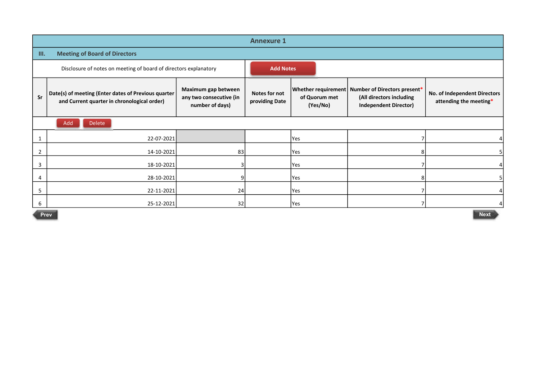|      | <b>Annexure 1</b>                                                                                  |                                                                   |                                 |                           |                                                                                                                |                                                        |  |  |  |
|------|----------------------------------------------------------------------------------------------------|-------------------------------------------------------------------|---------------------------------|---------------------------|----------------------------------------------------------------------------------------------------------------|--------------------------------------------------------|--|--|--|
| III. | <b>Meeting of Board of Directors</b>                                                               |                                                                   |                                 |                           |                                                                                                                |                                                        |  |  |  |
|      | Disclosure of notes on meeting of board of directors explanatory                                   | <b>Add Notes</b>                                                  |                                 |                           |                                                                                                                |                                                        |  |  |  |
| Sr   | Date(s) of meeting (Enter dates of Previous quarter<br>and Current quarter in chronological order) | Maximum gap between<br>any two consecutive (in<br>number of days) | Notes for not<br>providing Date | of Quorum met<br>(Yes/No) | Whether requirement   Number of Directors present*<br>(All directors including<br><b>Independent Director)</b> | No. of Independent Directors<br>attending the meeting* |  |  |  |
|      | Add<br><b>Delete</b>                                                                               |                                                                   |                                 |                           |                                                                                                                |                                                        |  |  |  |
|      | 22-07-2021                                                                                         |                                                                   |                                 | <b>Yes</b>                |                                                                                                                |                                                        |  |  |  |
| 2    | 14-10-2021                                                                                         | 83                                                                |                                 | Yes                       |                                                                                                                |                                                        |  |  |  |
| 3    | 18-10-2021                                                                                         |                                                                   |                                 | lYes                      |                                                                                                                |                                                        |  |  |  |
| 4    | 28-10-2021                                                                                         |                                                                   |                                 | lYes                      |                                                                                                                |                                                        |  |  |  |
| 5    | 22-11-2021                                                                                         | 24                                                                |                                 | <b>Yes</b>                |                                                                                                                |                                                        |  |  |  |
| 6    | 25-12-2021                                                                                         | 32                                                                |                                 | lYes.                     |                                                                                                                |                                                        |  |  |  |

Prev Next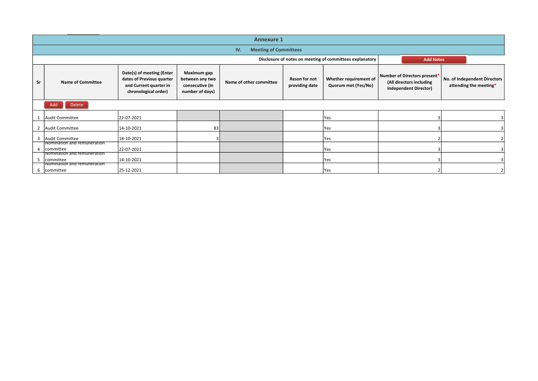|    |                                                                           |                                                                             |                                                       | <b>Annexure 1</b>                   |                                 |                                                          |                                                                                          |                                                        |
|----|---------------------------------------------------------------------------|-----------------------------------------------------------------------------|-------------------------------------------------------|-------------------------------------|---------------------------------|----------------------------------------------------------|------------------------------------------------------------------------------------------|--------------------------------------------------------|
|    |                                                                           |                                                                             |                                                       | <b>Meeting of Committees</b><br>IV. |                                 |                                                          |                                                                                          |                                                        |
|    |                                                                           |                                                                             |                                                       |                                     |                                 | Disclosure of notes on meeting of committees explanatory | <b>Add Notes</b>                                                                         |                                                        |
|    |                                                                           | Date(s) of meeting (Enter                                                   | <b>Maximum gap</b>                                    |                                     |                                 |                                                          |                                                                                          |                                                        |
| Sr | <b>Name of Committee</b>                                                  | dates of Previous quarter<br>and Current quarter in<br>chronological order) | between any two<br>consecutive (in<br>number of days) | Name of other committee             | Reson for not<br>providing date | Whether requirement of<br>Quorum met (Yes/No)            | Number of Directors present*<br>(All directors including<br><b>Independent Director)</b> | No. of Independent Directors<br>attending the meeting* |
|    | Delete<br>Add                                                             |                                                                             |                                                       |                                     |                                 |                                                          |                                                                                          |                                                        |
|    | 1 Audit Committee                                                         | 22-07-2021                                                                  |                                                       |                                     |                                 | Yes                                                      |                                                                                          |                                                        |
|    | 2 Audit Committee                                                         | 14-10-2021                                                                  | 83                                                    |                                     |                                 | Yes                                                      |                                                                                          |                                                        |
|    | 3 Audit Committee                                                         | 18-10-2021                                                                  | 3                                                     |                                     |                                 | Yes                                                      |                                                                                          |                                                        |
|    | Nomination and remuneration<br>4 committee                                | 22-07-2021                                                                  |                                                       |                                     |                                 | Yes                                                      |                                                                                          |                                                        |
|    | Nomination and remuneration<br>5 committee<br>Nomination and remuneration | 14-10-2021                                                                  |                                                       |                                     |                                 | Yes                                                      |                                                                                          |                                                        |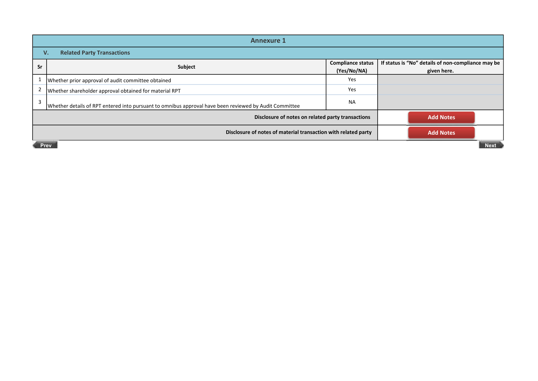|                                                                                    | <b>Annexure 1</b>                                                                                      |                                         |                                                                   |  |  |  |  |  |  |
|------------------------------------------------------------------------------------|--------------------------------------------------------------------------------------------------------|-----------------------------------------|-------------------------------------------------------------------|--|--|--|--|--|--|
| <b>Related Party Transactions</b><br>V.                                            |                                                                                                        |                                         |                                                                   |  |  |  |  |  |  |
| Sr                                                                                 | Subject                                                                                                | <b>Compliance status</b><br>(Yes/No/NA) | If status is "No" details of non-compliance may be<br>given here. |  |  |  |  |  |  |
|                                                                                    | Whether prior approval of audit committee obtained                                                     | Yes                                     |                                                                   |  |  |  |  |  |  |
| 2                                                                                  | Whether shareholder approval obtained for material RPT                                                 | Yes                                     |                                                                   |  |  |  |  |  |  |
| 3                                                                                  | Whether details of RPT entered into pursuant to omnibus approval have been reviewed by Audit Committee | <b>NA</b>                               |                                                                   |  |  |  |  |  |  |
| Disclosure of notes on related party transactions<br><b>Add Notes</b>              |                                                                                                        |                                         |                                                                   |  |  |  |  |  |  |
| Disclosure of notes of material transaction with related party<br><b>Add Notes</b> |                                                                                                        |                                         |                                                                   |  |  |  |  |  |  |
| <b>Prev</b>                                                                        |                                                                                                        |                                         | <b>Next</b>                                                       |  |  |  |  |  |  |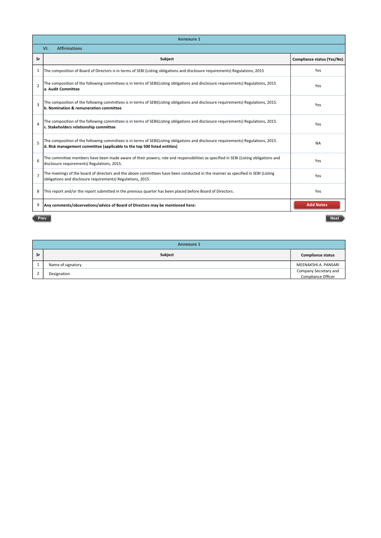|                | <b>Annexure 1</b>                                                                                                                                                                                               |                            |  |  |  |  |  |  |
|----------------|-----------------------------------------------------------------------------------------------------------------------------------------------------------------------------------------------------------------|----------------------------|--|--|--|--|--|--|
|                | <b>Affirmations</b><br>VI.                                                                                                                                                                                      |                            |  |  |  |  |  |  |
| Sr             | Subject                                                                                                                                                                                                         | Compliance status (Yes/No) |  |  |  |  |  |  |
| 1              | The composition of Board of Directors is in terms of SEBI (Listing obligations and disclosure requirements) Regulations, 2015                                                                                   | Yes                        |  |  |  |  |  |  |
| $\overline{2}$ | The composition of the following committees is in terms of SEBI(Listing obligations and disclosure requirements) Regulations, 2015<br>a. Audit Committee                                                        | Yes                        |  |  |  |  |  |  |
| $\overline{3}$ | The composition of the following committees is in terms of SEBI(Listing obligations and disclosure requirements) Regulations, 2015.<br>b. Nomination & remuneration committee                                   | Yes                        |  |  |  |  |  |  |
| 4              | The composition of the following committees is in terms of SEBI(Listing obligations and disclosure requirements) Regulations, 2015.<br>c. Stakeholders relationship committee                                   | Yes                        |  |  |  |  |  |  |
| 5              | The composition of the following committees is in terms of SEBI(Listing obligations and disclosure requirements) Regulations, 2015.<br>d. Risk management committee (applicable to the top 500 listed entities) | <b>NA</b>                  |  |  |  |  |  |  |
| 6              | The committee members have been made aware of their powers, role and responsibilities as specified in SEBI (Listing obligations and<br>disclosure requirements) Regulations, 2015.                              | Yes                        |  |  |  |  |  |  |
| $\overline{7}$ | The meetings of the board of directors and the above committees have been conducted in the manner as specified in SEBI (Listing<br>obligations and disclosure requirements) Regulations, 2015.                  | Yes                        |  |  |  |  |  |  |
| 8              | This report and/or the report submitted in the previous quarter has been placed before Board of Directors.                                                                                                      | Yes                        |  |  |  |  |  |  |
| 9              | Any comments/observations/advice of Board of Directors may be mentioned here:                                                                                                                                   | <b>Add Notes</b>           |  |  |  |  |  |  |
| Prev           |                                                                                                                                                                                                                 | <b>Next</b>                |  |  |  |  |  |  |

Subject **Compliance status** Subject **Compliance status** 1 Name of signatory MEENAKSHI A. PANSARI 2 Designation Company Secretary and Compliance Officer Company Secretary and Compliance Officer Compliance Officer Annexure 1